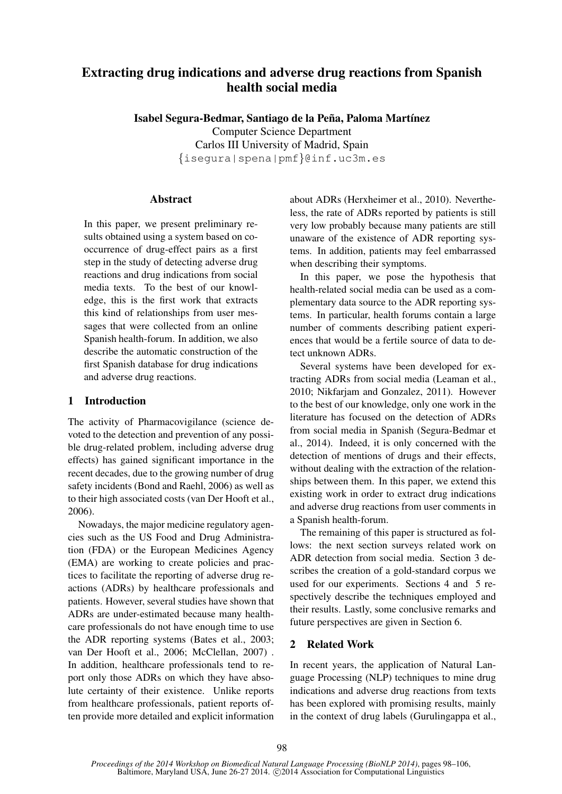# Extracting drug indications and adverse drug reactions from Spanish health social media

Isabel Segura-Bedmar, Santiago de la Peña, Paloma Martínez Computer Science Department Carlos III University of Madrid, Spain {isegura|spena|pmf}@inf.uc3m.es

#### **Abstract**

In this paper, we present preliminary results obtained using a system based on cooccurrence of drug-effect pairs as a first step in the study of detecting adverse drug reactions and drug indications from social media texts. To the best of our knowledge, this is the first work that extracts this kind of relationships from user messages that were collected from an online Spanish health-forum. In addition, we also describe the automatic construction of the first Spanish database for drug indications and adverse drug reactions.

### 1 Introduction

The activity of Pharmacovigilance (science devoted to the detection and prevention of any possible drug-related problem, including adverse drug effects) has gained significant importance in the recent decades, due to the growing number of drug safety incidents (Bond and Raehl, 2006) as well as to their high associated costs (van Der Hooft et al., 2006).

Nowadays, the major medicine regulatory agencies such as the US Food and Drug Administration (FDA) or the European Medicines Agency (EMA) are working to create policies and practices to facilitate the reporting of adverse drug reactions (ADRs) by healthcare professionals and patients. However, several studies have shown that ADRs are under-estimated because many healthcare professionals do not have enough time to use the ADR reporting systems (Bates et al., 2003; van Der Hooft et al., 2006; McClellan, 2007) . In addition, healthcare professionals tend to report only those ADRs on which they have absolute certainty of their existence. Unlike reports from healthcare professionals, patient reports often provide more detailed and explicit information

about ADRs (Herxheimer et al., 2010). Nevertheless, the rate of ADRs reported by patients is still very low probably because many patients are still unaware of the existence of ADR reporting systems. In addition, patients may feel embarrassed when describing their symptoms.

In this paper, we pose the hypothesis that health-related social media can be used as a complementary data source to the ADR reporting systems. In particular, health forums contain a large number of comments describing patient experiences that would be a fertile source of data to detect unknown ADRs.

Several systems have been developed for extracting ADRs from social media (Leaman et al., 2010; Nikfarjam and Gonzalez, 2011). However to the best of our knowledge, only one work in the literature has focused on the detection of ADRs from social media in Spanish (Segura-Bedmar et al., 2014). Indeed, it is only concerned with the detection of mentions of drugs and their effects, without dealing with the extraction of the relationships between them. In this paper, we extend this existing work in order to extract drug indications and adverse drug reactions from user comments in a Spanish health-forum.

The remaining of this paper is structured as follows: the next section surveys related work on ADR detection from social media. Section 3 describes the creation of a gold-standard corpus we used for our experiments. Sections 4 and 5 respectively describe the techniques employed and their results. Lastly, some conclusive remarks and future perspectives are given in Section 6.

## 2 Related Work

In recent years, the application of Natural Language Processing (NLP) techniques to mine drug indications and adverse drug reactions from texts has been explored with promising results, mainly in the context of drug labels (Gurulingappa et al.,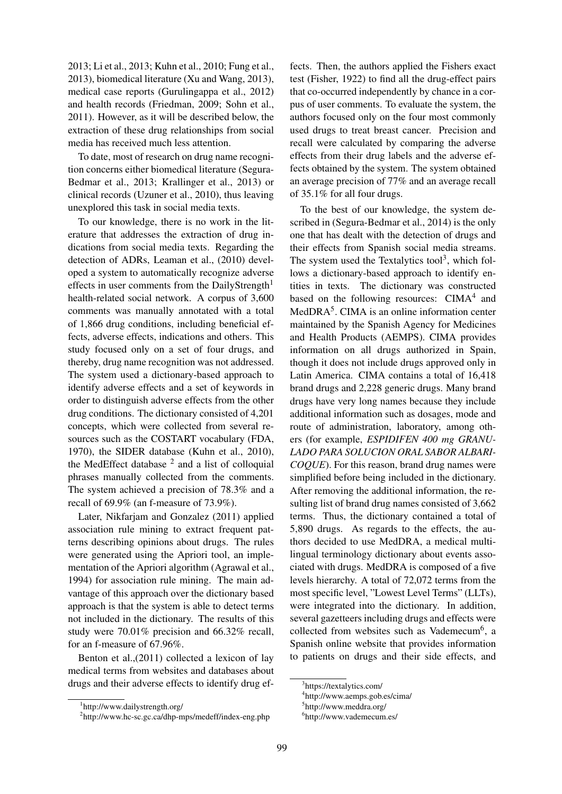2013; Li et al., 2013; Kuhn et al., 2010; Fung et al., 2013), biomedical literature (Xu and Wang, 2013), medical case reports (Gurulingappa et al., 2012) and health records (Friedman, 2009; Sohn et al., 2011). However, as it will be described below, the extraction of these drug relationships from social media has received much less attention.

To date, most of research on drug name recognition concerns either biomedical literature (Segura-Bedmar et al., 2013; Krallinger et al., 2013) or clinical records (Uzuner et al., 2010), thus leaving unexplored this task in social media texts.

To our knowledge, there is no work in the literature that addresses the extraction of drug indications from social media texts. Regarding the detection of ADRs, Leaman et al., (2010) developed a system to automatically recognize adverse effects in user comments from the DailyStrength<sup>1</sup> health-related social network. A corpus of 3,600 comments was manually annotated with a total of 1,866 drug conditions, including beneficial effects, adverse effects, indications and others. This study focused only on a set of four drugs, and thereby, drug name recognition was not addressed. The system used a dictionary-based approach to identify adverse effects and a set of keywords in order to distinguish adverse effects from the other drug conditions. The dictionary consisted of 4,201 concepts, which were collected from several resources such as the COSTART vocabulary (FDA, 1970), the SIDER database (Kuhn et al., 2010), the MedEffect database  $2$  and a list of colloquial phrases manually collected from the comments. The system achieved a precision of 78.3% and a recall of 69.9% (an f-measure of 73.9%).

Later, Nikfarjam and Gonzalez (2011) applied association rule mining to extract frequent patterns describing opinions about drugs. The rules were generated using the Apriori tool, an implementation of the Apriori algorithm (Agrawal et al., 1994) for association rule mining. The main advantage of this approach over the dictionary based approach is that the system is able to detect terms not included in the dictionary. The results of this study were 70.01% precision and 66.32% recall, for an f-measure of 67.96%.

Benton et al.,(2011) collected a lexicon of lay medical terms from websites and databases about drugs and their adverse effects to identify drug ef-

fects. Then, the authors applied the Fishers exact test (Fisher, 1922) to find all the drug-effect pairs that co-occurred independently by chance in a corpus of user comments. To evaluate the system, the authors focused only on the four most commonly used drugs to treat breast cancer. Precision and recall were calculated by comparing the adverse effects from their drug labels and the adverse effects obtained by the system. The system obtained an average precision of 77% and an average recall of 35.1% for all four drugs.

To the best of our knowledge, the system described in (Segura-Bedmar et al., 2014) is the only one that has dealt with the detection of drugs and their effects from Spanish social media streams. The system used the Textalytics tool<sup>3</sup>, which follows a dictionary-based approach to identify entities in texts. The dictionary was constructed based on the following resources:  $CIMA<sup>4</sup>$  and MedDRA<sup>5</sup>. CIMA is an online information center maintained by the Spanish Agency for Medicines and Health Products (AEMPS). CIMA provides information on all drugs authorized in Spain, though it does not include drugs approved only in Latin America. CIMA contains a total of 16,418 brand drugs and 2,228 generic drugs. Many brand drugs have very long names because they include additional information such as dosages, mode and route of administration, laboratory, among others (for example, *ESPIDIFEN 400 mg GRANU-LADO PARA SOLUCION ORAL SABOR ALBARI-COQUE*). For this reason, brand drug names were simplified before being included in the dictionary. After removing the additional information, the resulting list of brand drug names consisted of 3,662 terms. Thus, the dictionary contained a total of 5,890 drugs. As regards to the effects, the authors decided to use MedDRA, a medical multilingual terminology dictionary about events associated with drugs. MedDRA is composed of a five levels hierarchy. A total of 72,072 terms from the most specific level, "Lowest Level Terms" (LLTs), were integrated into the dictionary. In addition, several gazetteers including drugs and effects were collected from websites such as Vademecum<sup>6</sup>, a Spanish online website that provides information to patients on drugs and their side effects, and

<sup>1</sup> http://www.dailystrength.org/

<sup>2</sup> http://www.hc-sc.gc.ca/dhp-mps/medeff/index-eng.php

<sup>3</sup> https://textalytics.com/

<sup>4</sup> http://www.aemps.gob.es/cima/

<sup>5</sup> http://www.meddra.org/

<sup>6</sup> http://www.vademecum.es/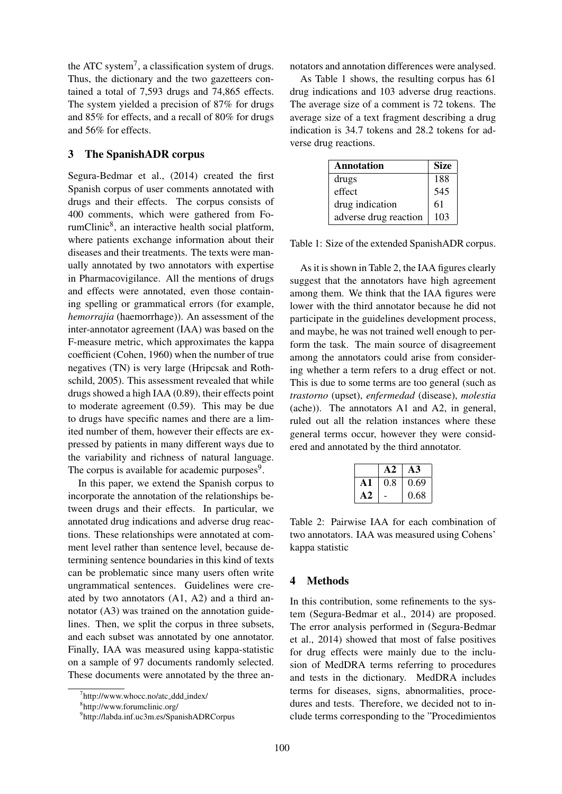the ATC system<sup>7</sup>, a classification system of drugs. Thus, the dictionary and the two gazetteers contained a total of 7,593 drugs and 74,865 effects. The system yielded a precision of 87% for drugs and 85% for effects, and a recall of 80% for drugs and 56% for effects.

#### 3 The SpanishADR corpus

Segura-Bedmar et al., (2014) created the first Spanish corpus of user comments annotated with drugs and their effects. The corpus consists of 400 comments, which were gathered from ForumClinic<sup>8</sup>, an interactive health social platform, where patients exchange information about their diseases and their treatments. The texts were manually annotated by two annotators with expertise in Pharmacovigilance. All the mentions of drugs and effects were annotated, even those containing spelling or grammatical errors (for example, *hemorrajia* (haemorrhage)). An assessment of the inter-annotator agreement (IAA) was based on the F-measure metric, which approximates the kappa coefficient (Cohen, 1960) when the number of true negatives (TN) is very large (Hripcsak and Rothschild, 2005). This assessment revealed that while drugs showed a high IAA (0.89), their effects point to moderate agreement (0.59). This may be due to drugs have specific names and there are a limited number of them, however their effects are expressed by patients in many different ways due to the variability and richness of natural language. The corpus is available for academic purposes<sup>9</sup>.

In this paper, we extend the Spanish corpus to incorporate the annotation of the relationships between drugs and their effects. In particular, we annotated drug indications and adverse drug reactions. These relationships were annotated at comment level rather than sentence level, because determining sentence boundaries in this kind of texts can be problematic since many users often write ungrammatical sentences. Guidelines were created by two annotators (A1, A2) and a third annotator (A3) was trained on the annotation guidelines. Then, we split the corpus in three subsets, and each subset was annotated by one annotator. Finally, IAA was measured using kappa-statistic on a sample of 97 documents randomly selected. These documents were annotated by the three annotators and annotation differences were analysed.

As Table 1 shows, the resulting corpus has 61 drug indications and 103 adverse drug reactions. The average size of a comment is 72 tokens. The average size of a text fragment describing a drug indication is 34.7 tokens and 28.2 tokens for adverse drug reactions.

| <b>Annotation</b>     | <b>Size</b> |
|-----------------------|-------------|
| drugs                 | 188         |
| effect                | 545         |
| drug indication       | 61          |
| adverse drug reaction | 103         |

Table 1: Size of the extended SpanishADR corpus.

As it is shown in Table 2, the IAA figures clearly suggest that the annotators have high agreement among them. We think that the IAA figures were lower with the third annotator because he did not participate in the guidelines development process, and maybe, he was not trained well enough to perform the task. The main source of disagreement among the annotators could arise from considering whether a term refers to a drug effect or not. This is due to some terms are too general (such as *trastorno* (upset), *enfermedad* (disease), *molestia* (ache)). The annotators A1 and A2, in general, ruled out all the relation instances where these general terms occur, however they were considered and annotated by the third annotator.

|     | A2  | A3   |
|-----|-----|------|
| A 1 | 0.8 | 0.69 |
| A2  |     | 0.68 |

Table 2: Pairwise IAA for each combination of two annotators. IAA was measured using Cohens' kappa statistic

#### 4 Methods

In this contribution, some refinements to the system (Segura-Bedmar et al., 2014) are proposed. The error analysis performed in (Segura-Bedmar et al., 2014) showed that most of false positives for drug effects were mainly due to the inclusion of MedDRA terms referring to procedures and tests in the dictionary. MedDRA includes terms for diseases, signs, abnormalities, procedures and tests. Therefore, we decided not to include terms corresponding to the "Procedimientos

<sup>&</sup>lt;sup>7</sup>http://www.whocc.no/atc\_ddd\_index/

<sup>8</sup> http://www.forumclinic.org/

<sup>9</sup> http://labda.inf.uc3m.es/SpanishADRCorpus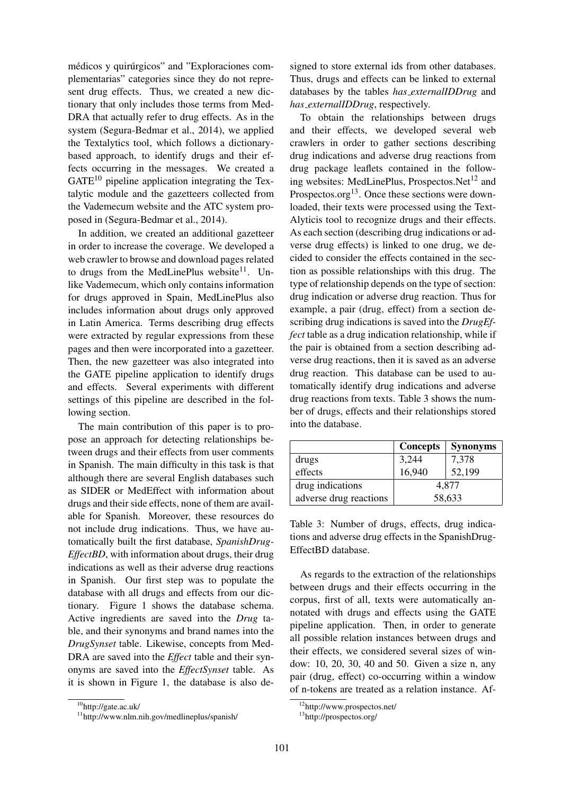médicos y quirúrgicos" and "Exploraciones complementarias" categories since they do not represent drug effects. Thus, we created a new dictionary that only includes those terms from Med-DRA that actually refer to drug effects. As in the system (Segura-Bedmar et al., 2014), we applied the Textalytics tool, which follows a dictionarybased approach, to identify drugs and their effects occurring in the messages. We created a  $GATE<sup>10</sup>$  pipeline application integrating the Textalytic module and the gazetteers collected from the Vademecum website and the ATC system proposed in (Segura-Bedmar et al., 2014).

In addition, we created an additional gazetteer in order to increase the coverage. We developed a web crawler to browse and download pages related to drugs from the MedLinePlus website $11$ . Unlike Vademecum, which only contains information for drugs approved in Spain, MedLinePlus also includes information about drugs only approved in Latin America. Terms describing drug effects were extracted by regular expressions from these pages and then were incorporated into a gazetteer. Then, the new gazetteer was also integrated into the GATE pipeline application to identify drugs and effects. Several experiments with different settings of this pipeline are described in the following section.

The main contribution of this paper is to propose an approach for detecting relationships between drugs and their effects from user comments in Spanish. The main difficulty in this task is that although there are several English databases such as SIDER or MedEffect with information about drugs and their side effects, none of them are available for Spanish. Moreover, these resources do not include drug indications. Thus, we have automatically built the first database, *SpanishDrug-EffectBD*, with information about drugs, their drug indications as well as their adverse drug reactions in Spanish. Our first step was to populate the database with all drugs and effects from our dictionary. Figure 1 shows the database schema. Active ingredients are saved into the *Drug* table, and their synonyms and brand names into the *DrugSynset* table. Likewise, concepts from Med-DRA are saved into the *Effect* table and their synonyms are saved into the *EffectSynset* table. As it is shown in Figure 1, the database is also de-

signed to store external ids from other databases. Thus, drugs and effects can be linked to external databases by the tables *has externalIDDrug* and *has externalIDDrug*, respectively.

To obtain the relationships between drugs and their effects, we developed several web crawlers in order to gather sections describing drug indications and adverse drug reactions from drug package leaflets contained in the following websites: MedLinePlus, Prospectos.Net<sup>12</sup> and Prospectos.org<sup>13</sup>. Once these sections were downloaded, their texts were processed using the Text-Alyticis tool to recognize drugs and their effects. As each section (describing drug indications or adverse drug effects) is linked to one drug, we decided to consider the effects contained in the section as possible relationships with this drug. The type of relationship depends on the type of section: drug indication or adverse drug reaction. Thus for example, a pair (drug, effect) from a section describing drug indications is saved into the *DrugEffect* table as a drug indication relationship, while if the pair is obtained from a section describing adverse drug reactions, then it is saved as an adverse drug reaction. This database can be used to automatically identify drug indications and adverse drug reactions from texts. Table 3 shows the number of drugs, effects and their relationships stored into the database.

|                        | <b>Concepts</b> | <b>Synonyms</b> |  |
|------------------------|-----------------|-----------------|--|
| drugs                  | 3,244           | 7,378           |  |
| effects                | 16,940          | 52,199          |  |
| drug indications       | 4,877           |                 |  |
| adverse drug reactions | 58,633          |                 |  |

Table 3: Number of drugs, effects, drug indications and adverse drug effects in the SpanishDrug-EffectBD database.

As regards to the extraction of the relationships between drugs and their effects occurring in the corpus, first of all, texts were automatically annotated with drugs and effects using the GATE pipeline application. Then, in order to generate all possible relation instances between drugs and their effects, we considered several sizes of window: 10, 20, 30, 40 and 50. Given a size n, any pair (drug, effect) co-occurring within a window of n-tokens are treated as a relation instance. Af-

<sup>10</sup>http://gate.ac.uk/

<sup>11</sup>http://www.nlm.nih.gov/medlineplus/spanish/

<sup>12</sup>http://www.prospectos.net/

<sup>13</sup>http://prospectos.org/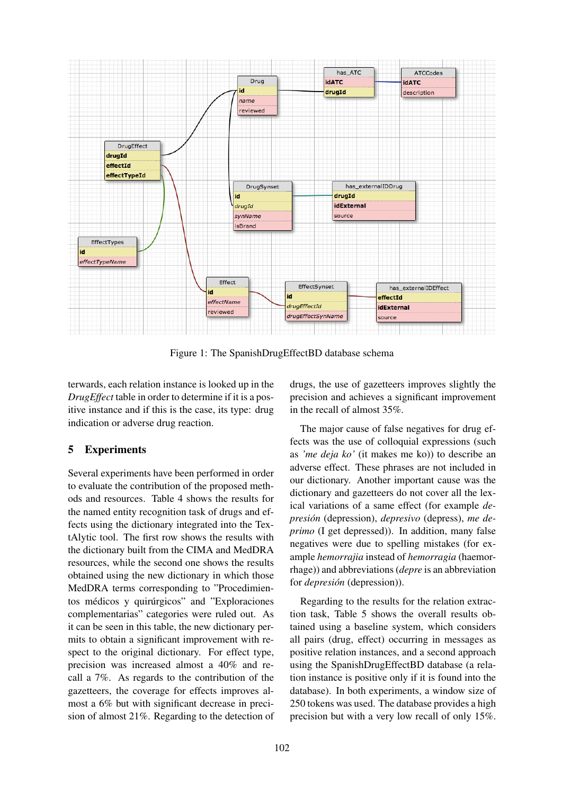

Figure 1: The SpanishDrugEffectBD database schema

terwards, each relation instance is looked up in the *DrugEffect* table in order to determine if it is a positive instance and if this is the case, its type: drug indication or adverse drug reaction.

## 5 Experiments

Several experiments have been performed in order to evaluate the contribution of the proposed methods and resources. Table 4 shows the results for the named entity recognition task of drugs and effects using the dictionary integrated into the TextAlytic tool. The first row shows the results with the dictionary built from the CIMA and MedDRA resources, while the second one shows the results obtained using the new dictionary in which those MedDRA terms corresponding to "Procedimientos médicos y quirúrgicos" and "Exploraciones" complementarias" categories were ruled out. As it can be seen in this table, the new dictionary permits to obtain a significant improvement with respect to the original dictionary. For effect type, precision was increased almost a 40% and recall a 7%. As regards to the contribution of the gazetteers, the coverage for effects improves almost a 6% but with significant decrease in precision of almost 21%. Regarding to the detection of drugs, the use of gazetteers improves slightly the precision and achieves a significant improvement in the recall of almost 35%.

The major cause of false negatives for drug effects was the use of colloquial expressions (such as *'me deja ko'* (it makes me ko)) to describe an adverse effect. These phrases are not included in our dictionary. Another important cause was the dictionary and gazetteers do not cover all the lexical variations of a same effect (for example *depresion´* (depression), *depresivo* (depress), *me deprimo* (I get depressed)). In addition, many false negatives were due to spelling mistakes (for example *hemorrajia* instead of *hemorragia* (haemorrhage)) and abbreviations (*depre* is an abbreviation for *depresión* (depression)).

Regarding to the results for the relation extraction task, Table 5 shows the overall results obtained using a baseline system, which considers all pairs (drug, effect) occurring in messages as positive relation instances, and a second approach using the SpanishDrugEffectBD database (a relation instance is positive only if it is found into the database). In both experiments, a window size of 250 tokens was used. The database provides a high precision but with a very low recall of only 15%.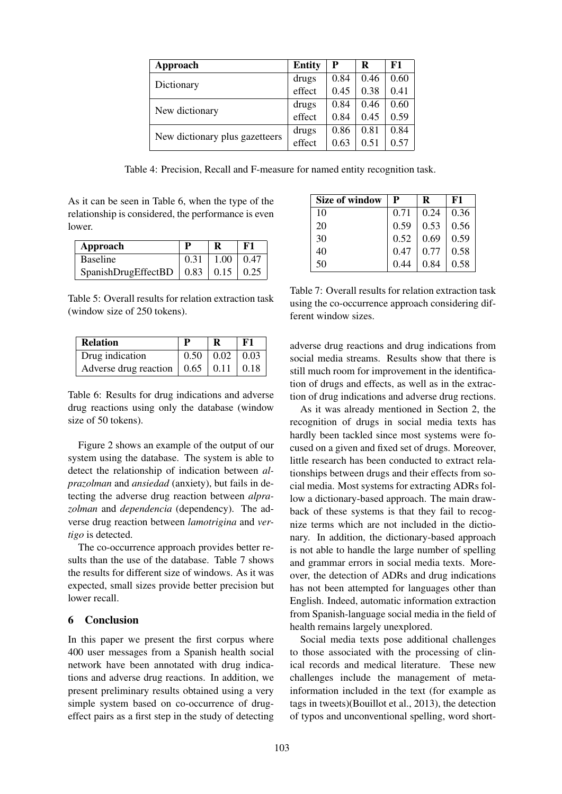| Approach                       | <b>Entity</b> | P    | R    | F1   |
|--------------------------------|---------------|------|------|------|
| Dictionary                     | drugs         | 0.84 | 0.46 | 0.60 |
|                                | effect        | 0.45 | 0.38 | 0.41 |
| New dictionary                 | drugs         | 0.84 | 0.46 | 0.60 |
|                                | effect        | 0.84 | 0.45 | 0.59 |
| New dictionary plus gazetteers | drugs         | 0.86 | 0.81 | 0.84 |
|                                | effect        | 0.63 | 0.51 | 0.57 |

Table 4: Precision, Recall and F-measure for named entity recognition task.

As it can be seen in Table 6, when the type of the relationship is considered, the performance is even lower.

| Approach                                                     |      | F1                    |
|--------------------------------------------------------------|------|-----------------------|
| <b>Baseline</b>                                              | 0.31 | $1.00 \mid 0.47 \mid$ |
| SpanishDrugEffectBD $\vert 0.83 \vert 0.15 \vert 0.25 \vert$ |      |                       |

Table 5: Overall results for relation extraction task (window size of 250 tokens).

| <b>Relation</b>                                          |                            | F1 |
|----------------------------------------------------------|----------------------------|----|
| Drug indication                                          | $0.50 \mid 0.02 \mid 0.03$ |    |
| Adverse drug reaction $\vert 0.65 \vert 0.11 \vert 0.18$ |                            |    |

Table 6: Results for drug indications and adverse drug reactions using only the database (window size of 50 tokens).

Figure 2 shows an example of the output of our system using the database. The system is able to detect the relationship of indication between *alprazolman* and *ansiedad* (anxiety), but fails in detecting the adverse drug reaction between *alprazolman* and *dependencia* (dependency). The adverse drug reaction between *lamotrigina* and *vertigo* is detected.

The co-occurrence approach provides better results than the use of the database. Table 7 shows the results for different size of windows. As it was expected, small sizes provide better precision but lower recall.

### 6 Conclusion

In this paper we present the first corpus where 400 user messages from a Spanish health social network have been annotated with drug indications and adverse drug reactions. In addition, we present preliminary results obtained using a very simple system based on co-occurrence of drugeffect pairs as a first step in the study of detecting

| Size of window | P    | R    | F1   |
|----------------|------|------|------|
| 10             | 0.71 | 0.24 | 0.36 |
| 20             | 0.59 | 0.53 | 0.56 |
| 30             | 0.52 | 0.69 | 0.59 |
| 40             | 0.47 | 0.77 | 0.58 |
| 50             | 0.44 | 0.84 | 0.58 |

Table 7: Overall results for relation extraction task using the co-occurrence approach considering different window sizes.

adverse drug reactions and drug indications from social media streams. Results show that there is still much room for improvement in the identification of drugs and effects, as well as in the extraction of drug indications and adverse drug rections.

As it was already mentioned in Section 2, the recognition of drugs in social media texts has hardly been tackled since most systems were focused on a given and fixed set of drugs. Moreover, little research has been conducted to extract relationships between drugs and their effects from social media. Most systems for extracting ADRs follow a dictionary-based approach. The main drawback of these systems is that they fail to recognize terms which are not included in the dictionary. In addition, the dictionary-based approach is not able to handle the large number of spelling and grammar errors in social media texts. Moreover, the detection of ADRs and drug indications has not been attempted for languages other than English. Indeed, automatic information extraction from Spanish-language social media in the field of health remains largely unexplored.

Social media texts pose additional challenges to those associated with the processing of clinical records and medical literature. These new challenges include the management of metainformation included in the text (for example as tags in tweets)(Bouillot et al., 2013), the detection of typos and unconventional spelling, word short-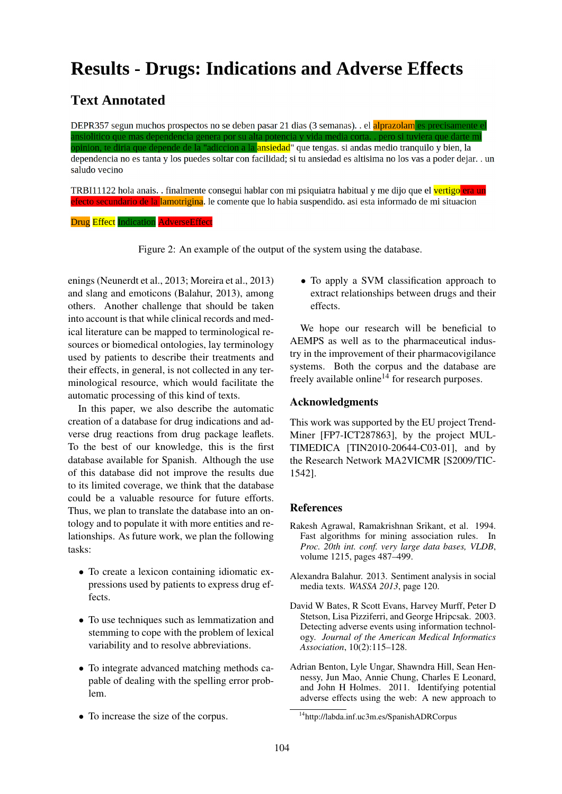# **Results - Drugs: Indications and Adverse Effects**

# **Text Annotated**

DEPR357 segun muchos prospectos no se deben pasar 21 dias (3 semanas). . el alprazolam es precisamento mas dependencia genera por su alta potencia y opinion, te diria que depende de la "adiccion a la <mark>ansiedad</mark>" que tengas. si andas medio tranquilo y bien, la dependencia no es tanta y los puedes soltar con facilidad; si tu ansiedad es altisima no los vas a poder dejar..un saludo vecino

TRBI11122 hola anais. . finalmente consegui hablar con mi psiquiatra habitual y me dijo que el vertigo era un <mark>efecto secundario de la lamotrigina</mark>. le comente que lo habia suspendido. asi esta informado de mi situacion

**Drug Effect Indication AdverseEffect** 

Figure 2: An example of the output of the system using the database.

enings (Neunerdt et al., 2013; Moreira et al., 2013) and slang and emoticons (Balahur, 2013), among others. Another challenge that should be taken into account is that while clinical records and medical literature can be mapped to terminological resources or biomedical ontologies, lay terminology used by patients to describe their treatments and their effects, in general, is not collected in any terminological resource, which would facilitate the automatic processing of this kind of texts.

In this paper, we also describe the automatic creation of a database for drug indications and adverse drug reactions from drug package leaflets. To the best of our knowledge, this is the first database available for Spanish. Although the use of this database did not improve the results due to its limited coverage, we think that the database could be a valuable resource for future efforts. Thus, we plan to translate the database into an ontology and to populate it with more entities and relationships. As future work, we plan the following tasks:

- To create a lexicon containing idiomatic expressions used by patients to express drug effects.
- To use techniques such as lemmatization and stemming to cope with the problem of lexical variability and to resolve abbreviations.
- To integrate advanced matching methods capable of dealing with the spelling error problem.
- To increase the size of the corpus.

• To apply a SVM classification approach to extract relationships between drugs and their effects.

We hope our research will be beneficial to AEMPS as well as to the pharmaceutical industry in the improvement of their pharmacovigilance systems. Both the corpus and the database are freely available online<sup>14</sup> for research purposes.

#### Acknowledgments

This work was supported by the EU project Trend-Miner [FP7-ICT287863], by the project MUL-TIMEDICA [TIN2010-20644-C03-01], and by the Research Network MA2VICMR [S2009/TIC-1542].

#### **References**

- Rakesh Agrawal, Ramakrishnan Srikant, et al. 1994. Fast algorithms for mining association rules. In *Proc. 20th int. conf. very large data bases, VLDB*, volume 1215, pages 487–499.
- Alexandra Balahur. 2013. Sentiment analysis in social media texts. *WASSA 2013*, page 120.
- David W Bates, R Scott Evans, Harvey Murff, Peter D Stetson, Lisa Pizziferri, and George Hripcsak. 2003. Detecting adverse events using information technology. *Journal of the American Medical Informatics Association*, 10(2):115–128.
- Adrian Benton, Lyle Ungar, Shawndra Hill, Sean Hennessy, Jun Mao, Annie Chung, Charles E Leonard, and John H Holmes. 2011. Identifying potential adverse effects using the web: A new approach to

<sup>14</sup>http://labda.inf.uc3m.es/SpanishADRCorpus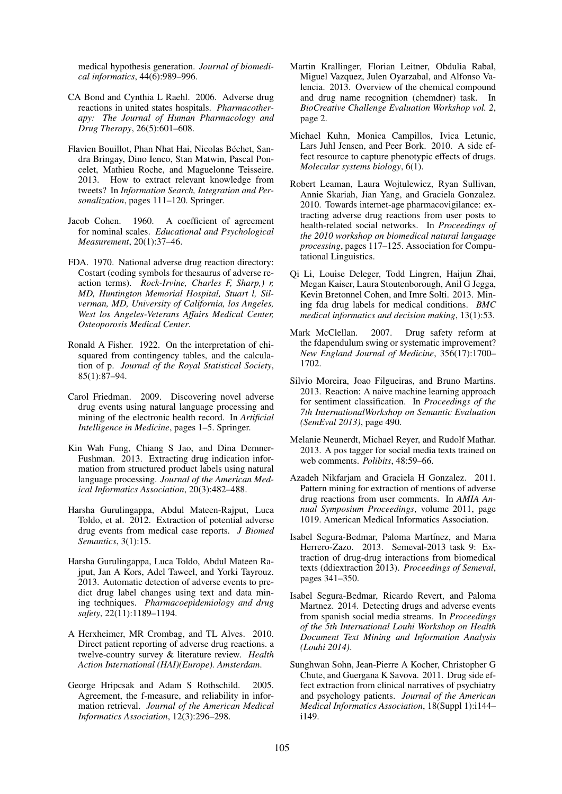medical hypothesis generation. *Journal of biomedical informatics*, 44(6):989–996.

- CA Bond and Cynthia L Raehl. 2006. Adverse drug reactions in united states hospitals. *Pharmacotherapy: The Journal of Human Pharmacology and Drug Therapy*, 26(5):601–608.
- Flavien Bouillot, Phan Nhat Hai, Nicolas Béchet, Sandra Bringay, Dino Ienco, Stan Matwin, Pascal Poncelet, Mathieu Roche, and Maguelonne Teisseire. 2013. How to extract relevant knowledge from tweets? In *Information Search, Integration and Personalization*, pages 111–120. Springer.
- Jacob Cohen. 1960. A coefficient of agreement for nominal scales. *Educational and Psychological Measurement*, 20(1):37–46.
- FDA. 1970. National adverse drug reaction directory: Costart (coding symbols for thesaurus of adverse reaction terms). *Rock-Irvine, Charles F, Sharp,) r, MD, Huntington Memorial Hospital, Stuart l, Silverman, MD, University of California, los Angeles, West los Angeles-Veterans Affairs Medical Center, Osteoporosis Medical Center*.
- Ronald A Fisher. 1922. On the interpretation of chisquared from contingency tables, and the calculation of p. *Journal of the Royal Statistical Society*, 85(1):87–94.
- Carol Friedman. 2009. Discovering novel adverse drug events using natural language processing and mining of the electronic health record. In *Artificial Intelligence in Medicine*, pages 1–5. Springer.
- Kin Wah Fung, Chiang S Jao, and Dina Demner-Fushman. 2013. Extracting drug indication information from structured product labels using natural language processing. *Journal of the American Medical Informatics Association*, 20(3):482–488.
- Harsha Gurulingappa, Abdul Mateen-Rajput, Luca Toldo, et al. 2012. Extraction of potential adverse drug events from medical case reports. *J Biomed Semantics*, 3(1):15.
- Harsha Gurulingappa, Luca Toldo, Abdul Mateen Rajput, Jan A Kors, Adel Taweel, and Yorki Tayrouz. 2013. Automatic detection of adverse events to predict drug label changes using text and data mining techniques. *Pharmacoepidemiology and drug safety*, 22(11):1189–1194.
- A Herxheimer, MR Crombag, and TL Alves. 2010. Direct patient reporting of adverse drug reactions. a twelve-country survey & literature review. *Health Action International (HAI)(Europe). Amsterdam*.
- George Hripcsak and Adam S Rothschild. 2005. Agreement, the f-measure, and reliability in information retrieval. *Journal of the American Medical Informatics Association*, 12(3):296–298.
- Martin Krallinger, Florian Leitner, Obdulia Rabal, Miguel Vazquez, Julen Oyarzabal, and Alfonso Valencia. 2013. Overview of the chemical compound and drug name recognition (chemdner) task. In *BioCreative Challenge Evaluation Workshop vol. 2*, page 2.
- Michael Kuhn, Monica Campillos, Ivica Letunic, Lars Juhl Jensen, and Peer Bork. 2010. A side effect resource to capture phenotypic effects of drugs. *Molecular systems biology*, 6(1).
- Robert Leaman, Laura Wojtulewicz, Ryan Sullivan, Annie Skariah, Jian Yang, and Graciela Gonzalez. 2010. Towards internet-age pharmacovigilance: extracting adverse drug reactions from user posts to health-related social networks. In *Proceedings of the 2010 workshop on biomedical natural language processing*, pages 117–125. Association for Computational Linguistics.
- Qi Li, Louise Deleger, Todd Lingren, Haijun Zhai, Megan Kaiser, Laura Stoutenborough, Anil G Jegga, Kevin Bretonnel Cohen, and Imre Solti. 2013. Mining fda drug labels for medical conditions. *BMC medical informatics and decision making*, 13(1):53.
- Mark McClellan. 2007. Drug safety reform at the fdapendulum swing or systematic improvement? *New England Journal of Medicine*, 356(17):1700– 1702.
- Silvio Moreira, Joao Filgueiras, and Bruno Martins. 2013. Reaction: A naive machine learning approach for sentiment classification. In *Proceedings of the 7th InternationalWorkshop on Semantic Evaluation (SemEval 2013)*, page 490.
- Melanie Neunerdt, Michael Reyer, and Rudolf Mathar. 2013. A pos tagger for social media texts trained on web comments. *Polibits*, 48:59–66.
- Azadeh Nikfarjam and Graciela H Gonzalez. 2011. Pattern mining for extraction of mentions of adverse drug reactions from user comments. In *AMIA Annual Symposium Proceedings*, volume 2011, page 1019. American Medical Informatics Association.
- Isabel Segura-Bedmar, Paloma Martínez, and Maria Herrero-Zazo. 2013. Semeval-2013 task 9: Extraction of drug-drug interactions from biomedical texts (ddiextraction 2013). *Proceedings of Semeval*, pages 341–350.
- Isabel Segura-Bedmar, Ricardo Revert, and Paloma Martnez. 2014. Detecting drugs and adverse events from spanish social media streams. In *Proceedings of the 5th International Louhi Workshop on Health Document Text Mining and Information Analysis (Louhi 2014)*.
- Sunghwan Sohn, Jean-Pierre A Kocher, Christopher G Chute, and Guergana K Savova. 2011. Drug side effect extraction from clinical narratives of psychiatry and psychology patients. *Journal of the American Medical Informatics Association*, 18(Suppl 1):i144– i149.